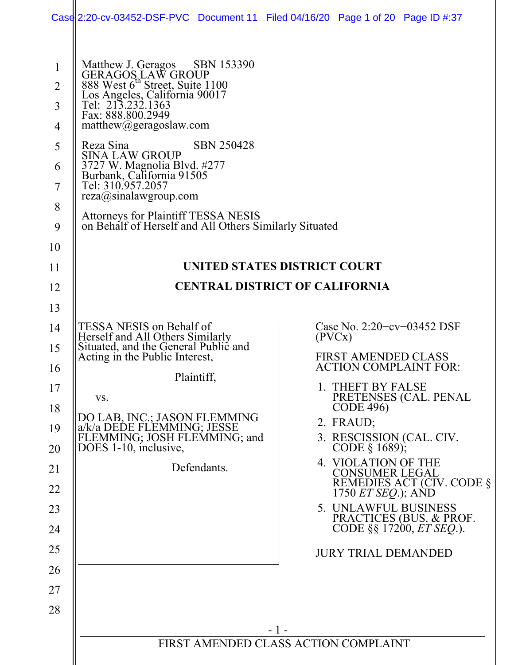|                                                                         |                                                                                                                                                                                                                                                                                                                                                                                                                                                                                  | Case 2:20-cv-03452-DSF-PVC Document 11 Filed 04/16/20 Page 1 of 20 Page ID #:37 |  |
|-------------------------------------------------------------------------|----------------------------------------------------------------------------------------------------------------------------------------------------------------------------------------------------------------------------------------------------------------------------------------------------------------------------------------------------------------------------------------------------------------------------------------------------------------------------------|---------------------------------------------------------------------------------|--|
| $\mathbf{1}$<br>$\overline{2}$<br>3<br>4<br>5<br>6<br>7<br>8<br>9<br>10 | Matthew J. Geragos SBN 153390<br>GERAGOS LAW GROUP<br>888 West 6 <sup>th</sup> Street, Suite 1100<br>Los Angeles, California 90017<br>Tel: 213.232.1363<br>Fax: 888.800.2949<br>mathemathew@geragoslaw.com<br><b>SBN 250428</b><br>Reza Sina<br><b>SINA LAW GROUP</b><br>3727 W. Magnolia Blvd. #277<br>Burbank, California 91505<br>Tel: 310.957.2057<br>reza@sinalawgroup.com<br>Attorneys for Plaintiff TESSA NESIS<br>on Behalf of Herself and All Others Similarly Situated |                                                                                 |  |
| 11                                                                      | UNITED STATES DISTRICT COURT                                                                                                                                                                                                                                                                                                                                                                                                                                                     |                                                                                 |  |
| 12                                                                      | <b>CENTRAL DISTRICT OF CALIFORNIA</b>                                                                                                                                                                                                                                                                                                                                                                                                                                            |                                                                                 |  |
| 13                                                                      |                                                                                                                                                                                                                                                                                                                                                                                                                                                                                  |                                                                                 |  |
| 14                                                                      | TESSA NESIS on Behalf of                                                                                                                                                                                                                                                                                                                                                                                                                                                         | Case No. 2:20-cv-03452 DSF                                                      |  |
| 15                                                                      | Herself and All Others Similarly<br>Situated, and the General Public and                                                                                                                                                                                                                                                                                                                                                                                                         | (PVCX)                                                                          |  |
| 16                                                                      | Acting in the Public Interest,                                                                                                                                                                                                                                                                                                                                                                                                                                                   | <b>FIRST AMENDED CLASS</b><br><b>ACTION COMPLAINT FOR:</b>                      |  |
| 17                                                                      | Plaintiff,<br>VS.                                                                                                                                                                                                                                                                                                                                                                                                                                                                | 1. THEFT BY FALSE                                                               |  |
| 18                                                                      |                                                                                                                                                                                                                                                                                                                                                                                                                                                                                  | PRETENSES (CAL. PENAL<br>CODE 496)                                              |  |
| 19                                                                      | DO LAB, INC.; JASON FLEMMING<br>a/k/a DEDE FLEMMING; JESSE<br>FLEMMING; JOSH FLEMMING; and                                                                                                                                                                                                                                                                                                                                                                                       | 2. FRAUD;                                                                       |  |
| 20                                                                      | DOES 1-10, inclusive,                                                                                                                                                                                                                                                                                                                                                                                                                                                            | 3. RESCISSION (CAL. CIV. CODE § 1689);                                          |  |
| 21                                                                      | Defendants.                                                                                                                                                                                                                                                                                                                                                                                                                                                                      | 4. VIOLATION OF THE<br><b>CONSUMER LEGAL</b>                                    |  |
| 22                                                                      |                                                                                                                                                                                                                                                                                                                                                                                                                                                                                  | REMEDIES ACT (CIV. CODE § 1750 ET SEQ.); AND                                    |  |
| 23                                                                      |                                                                                                                                                                                                                                                                                                                                                                                                                                                                                  | 5. UNLAWFUL BUSINESS<br>PRACTICES (BUS. & PROF.                                 |  |
| 24                                                                      |                                                                                                                                                                                                                                                                                                                                                                                                                                                                                  | CODE §§ 17200, ET SEO.).                                                        |  |
| 25                                                                      |                                                                                                                                                                                                                                                                                                                                                                                                                                                                                  | <b>JURY TRIAL DEMANDED</b>                                                      |  |
| 26                                                                      |                                                                                                                                                                                                                                                                                                                                                                                                                                                                                  |                                                                                 |  |
| 27                                                                      |                                                                                                                                                                                                                                                                                                                                                                                                                                                                                  |                                                                                 |  |
| 28                                                                      |                                                                                                                                                                                                                                                                                                                                                                                                                                                                                  |                                                                                 |  |
|                                                                         |                                                                                                                                                                                                                                                                                                                                                                                                                                                                                  | $-1-$<br>FIRST AMENDED CLASS ACTION COMPLAINT                                   |  |
|                                                                         |                                                                                                                                                                                                                                                                                                                                                                                                                                                                                  |                                                                                 |  |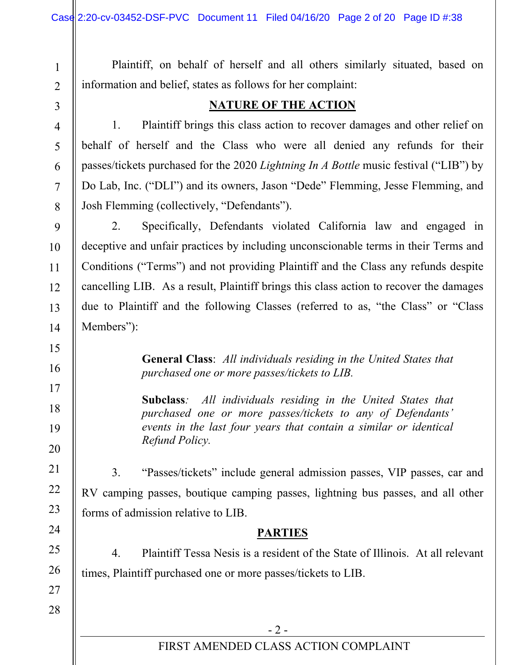Plaintiff, on behalf of herself and all others similarly situated, based on information and belief, states as follows for her complaint:

1

2

3

4

5

6

7

8

9

10

11

12

13

14

15

16

17

18

19

20

21

22

23

24

25

26

## **NATURE OF THE ACTION**

1. Plaintiff brings this class action to recover damages and other relief on behalf of herself and the Class who were all denied any refunds for their passes/tickets purchased for the 2020 *Lightning In A Bottle* music festival ("LIB") by Do Lab, Inc. ("DLI") and its owners, Jason "Dede" Flemming, Jesse Flemming, and Josh Flemming (collectively, "Defendants").

2. Specifically, Defendants violated California law and engaged in deceptive and unfair practices by including unconscionable terms in their Terms and Conditions ("Terms") and not providing Plaintiff and the Class any refunds despite cancelling LIB. As a result, Plaintiff brings this class action to recover the damages due to Plaintiff and the following Classes (referred to as, "the Class" or "Class Members"):

> **General Class**: *All individuals residing in the United States that purchased one or more passes/tickets to LIB.*

> **Subclass***: All individuals residing in the United States that purchased one or more passes/tickets to any of Defendants' events in the last four years that contain a similar or identical Refund Policy.*

3. "Passes/tickets" include general admission passes, VIP passes, car and RV camping passes, boutique camping passes, lightning bus passes, and all other forms of admission relative to LIB.

## **PARTIES**

4. Plaintiff Tessa Nesis is a resident of the State of Illinois. At all relevant times, Plaintiff purchased one or more passes/tickets to LIB.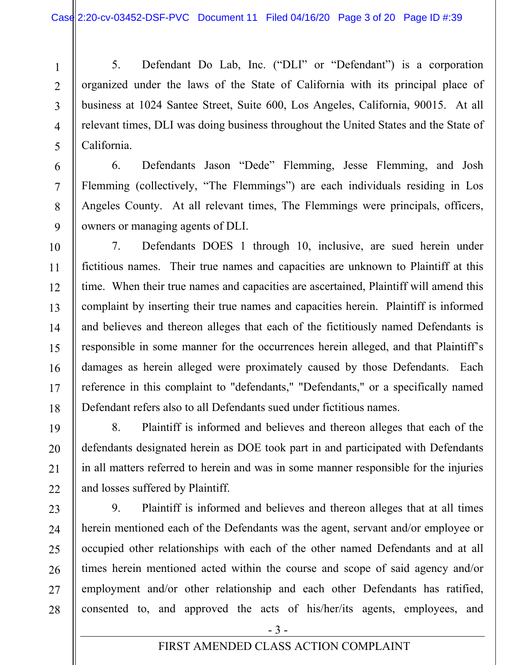5. Defendant Do Lab, Inc. ("DLI" or "Defendant") is a corporation organized under the laws of the State of California with its principal place of business at 1024 Santee Street, Suite 600, Los Angeles, California, 90015. At all relevant times, DLI was doing business throughout the United States and the State of California.

6. Defendants Jason "Dede" Flemming, Jesse Flemming, and Josh Flemming (collectively, "The Flemmings") are each individuals residing in Los Angeles County. At all relevant times, The Flemmings were principals, officers, owners or managing agents of DLI.

7. Defendants DOES 1 through 10, inclusive, are sued herein under fictitious names. Their true names and capacities are unknown to Plaintiff at this time. When their true names and capacities are ascertained, Plaintiff will amend this complaint by inserting their true names and capacities herein. Plaintiff is informed and believes and thereon alleges that each of the fictitiously named Defendants is responsible in some manner for the occurrences herein alleged, and that Plaintiff's damages as herein alleged were proximately caused by those Defendants. Each reference in this complaint to "defendants," "Defendants," or a specifically named Defendant refers also to all Defendants sued under fictitious names.

8. Plaintiff is informed and believes and thereon alleges that each of the defendants designated herein as DOE took part in and participated with Defendants in all matters referred to herein and was in some manner responsible for the injuries and losses suffered by Plaintiff.

9. Plaintiff is informed and believes and thereon alleges that at all times herein mentioned each of the Defendants was the agent, servant and/or employee or occupied other relationships with each of the other named Defendants and at all times herein mentioned acted within the course and scope of said agency and/or employment and/or other relationship and each other Defendants has ratified, consented to, and approved the acts of his/her/its agents, employees, and

1

2

3

4

5

6

7

8

9

10

11

 $-3-$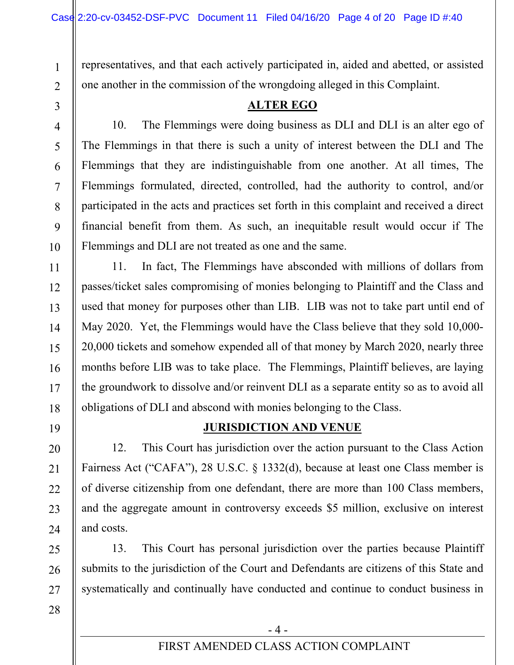representatives, and that each actively participated in, aided and abetted, or assisted one another in the commission of the wrongdoing alleged in this Complaint.

**ALTER EGO** 

3 4

5

6

7

8

9

10

1

2

10. The Flemmings were doing business as DLI and DLI is an alter ego of The Flemmings in that there is such a unity of interest between the DLI and The Flemmings that they are indistinguishable from one another. At all times, The Flemmings formulated, directed, controlled, had the authority to control, and/or participated in the acts and practices set forth in this complaint and received a direct financial benefit from them. As such, an inequitable result would occur if The Flemmings and DLI are not treated as one and the same.

11. In fact, The Flemmings have absconded with millions of dollars from passes/ticket sales compromising of monies belonging to Plaintiff and the Class and used that money for purposes other than LIB. LIB was not to take part until end of May 2020. Yet, the Flemmings would have the Class believe that they sold 10,000- 20,000 tickets and somehow expended all of that money by March 2020, nearly three months before LIB was to take place. The Flemmings, Plaintiff believes, are laying the groundwork to dissolve and/or reinvent DLI as a separate entity so as to avoid all obligations of DLI and abscond with monies belonging to the Class.

## **JURISDICTION AND VENUE**

12. This Court has jurisdiction over the action pursuant to the Class Action Fairness Act ("CAFA"), 28 U.S.C. § 1332(d), because at least one Class member is of diverse citizenship from one defendant, there are more than 100 Class members, and the aggregate amount in controversy exceeds \$5 million, exclusive on interest and costs.

13. This Court has personal jurisdiction over the parties because Plaintiff submits to the jurisdiction of the Court and Defendants are citizens of this State and systematically and continually have conducted and continue to conduct business in

 $-4-$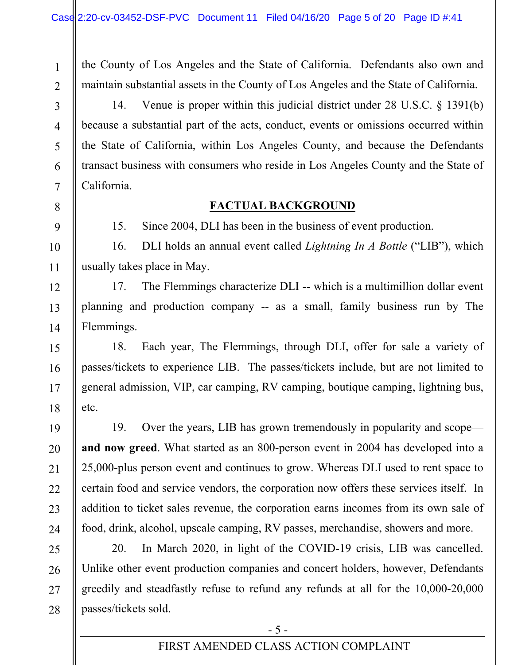the County of Los Angeles and the State of California. Defendants also own and maintain substantial assets in the County of Los Angeles and the State of California.

14. Venue is proper within this judicial district under 28 U.S.C. § 1391(b) because a substantial part of the acts, conduct, events or omissions occurred within the State of California, within Los Angeles County, and because the Defendants transact business with consumers who reside in Los Angeles County and the State of California.

## **FACTUAL BACKGROUND**

15. Since 2004, DLI has been in the business of event production.

16. DLI holds an annual event called *Lightning In A Bottle* ("LIB"), which usually takes place in May.

17. The Flemmings characterize DLI -- which is a multimillion dollar event planning and production company -- as a small, family business run by The Flemmings.

18. Each year, The Flemmings, through DLI, offer for sale a variety of passes/tickets to experience LIB. The passes/tickets include, but are not limited to general admission, VIP, car camping, RV camping, boutique camping, lightning bus, etc.

19. Over the years, LIB has grown tremendously in popularity and scope **and now greed**. What started as an 800-person event in 2004 has developed into a 25,000-plus person event and continues to grow. Whereas DLI used to rent space to certain food and service vendors, the corporation now offers these services itself. In addition to ticket sales revenue, the corporation earns incomes from its own sale of food, drink, alcohol, upscale camping, RV passes, merchandise, showers and more.

20. In March 2020, in light of the COVID-19 crisis, LIB was cancelled. Unlike other event production companies and concert holders, however, Defendants greedily and steadfastly refuse to refund any refunds at all for the 10,000-20,000 passes/tickets sold.

## FIRST AMENDED CLASS ACTION COMPLAINT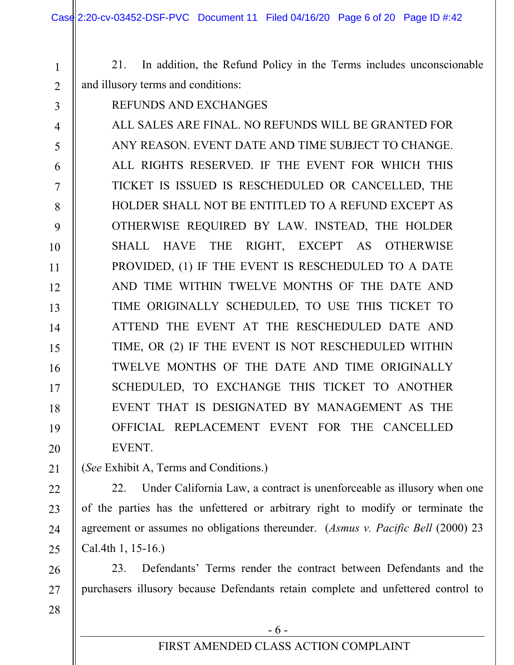21. In addition, the Refund Policy in the Terms includes unconscionable and illusory terms and conditions:

REFUNDS AND EXCHANGES

1

2

3

5

6

7

8

9

11

21

22

23

24

25

26

27

28

4 10 12 13 14 15 16 17 18 19 20 ALL SALES ARE FINAL. NO REFUNDS WILL BE GRANTED FOR ANY REASON. EVENT DATE AND TIME SUBJECT TO CHANGE. ALL RIGHTS RESERVED. IF THE EVENT FOR WHICH THIS TICKET IS ISSUED IS RESCHEDULED OR CANCELLED, THE HOLDER SHALL NOT BE ENTITLED TO A REFUND EXCEPT AS OTHERWISE REQUIRED BY LAW. INSTEAD, THE HOLDER SHALL HAVE THE RIGHT, EXCEPT AS OTHERWISE PROVIDED, (1) IF THE EVENT IS RESCHEDULED TO A DATE AND TIME WITHIN TWELVE MONTHS OF THE DATE AND TIME ORIGINALLY SCHEDULED, TO USE THIS TICKET TO ATTEND THE EVENT AT THE RESCHEDULED DATE AND TIME, OR (2) IF THE EVENT IS NOT RESCHEDULED WITHIN TWELVE MONTHS OF THE DATE AND TIME ORIGINALLY SCHEDULED, TO EXCHANGE THIS TICKET TO ANOTHER EVENT THAT IS DESIGNATED BY MANAGEMENT AS THE OFFICIAL REPLACEMENT EVENT FOR THE CANCELLED EVENT.

(*See* Exhibit A, Terms and Conditions.)

22. Under California Law, a contract is unenforceable as illusory when one of the parties has the unfettered or arbitrary right to modify or terminate the agreement or assumes no obligations thereunder. (*Asmus v. Pacific Bell* (2000) 23 Cal.4th 1, 15-16.)

23. Defendants' Terms render the contract between Defendants and the purchasers illusory because Defendants retain complete and unfettered control to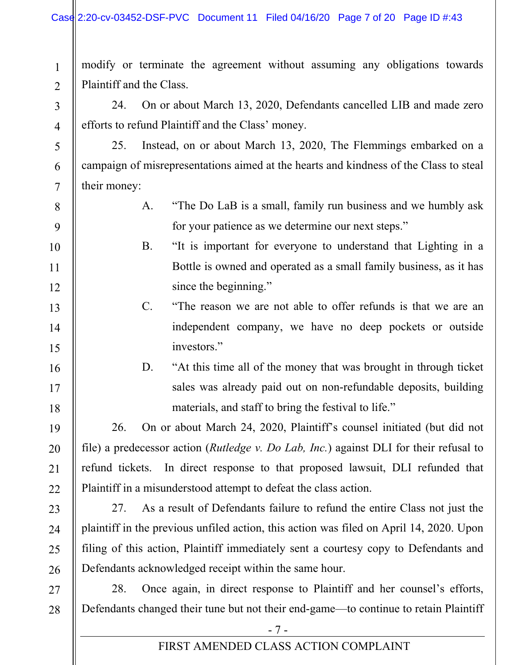modify or terminate the agreement without assuming any obligations towards Plaintiff and the Class.

24. On or about March 13, 2020, Defendants cancelled LIB and made zero efforts to refund Plaintiff and the Class' money.

25. Instead, on or about March 13, 2020, The Flemmings embarked on a campaign of misrepresentations aimed at the hearts and kindness of the Class to steal their money:

- A. "The Do LaB is a small, family run business and we humbly ask for your patience as we determine our next steps."
- B. "It is important for everyone to understand that Lighting in a Bottle is owned and operated as a small family business, as it has since the beginning."

## C. "The reason we are not able to offer refunds is that we are an independent company, we have no deep pockets or outside investors."

D. "At this time all of the money that was brought in through ticket sales was already paid out on non-refundable deposits, building materials, and staff to bring the festival to life."

26. On or about March 24, 2020, Plaintiff's counsel initiated (but did not file) a predecessor action (*Rutledge v. Do Lab, Inc.*) against DLI for their refusal to refund tickets. In direct response to that proposed lawsuit, DLI refunded that Plaintiff in a misunderstood attempt to defeat the class action.

27. As a result of Defendants failure to refund the entire Class not just the plaintiff in the previous unfiled action, this action was filed on April 14, 2020. Upon filing of this action, Plaintiff immediately sent a courtesy copy to Defendants and Defendants acknowledged receipt within the same hour.

28. Once again, in direct response to Plaintiff and her counsel's efforts, Defendants changed their tune but not their end-game—to continue to retain Plaintiff

## FIRST AMENDED CLASS ACTION COMPLAINT

1

2

3

4

5

6

7

8

9

10

11

12

13

14

15

16

17

18

19

20

21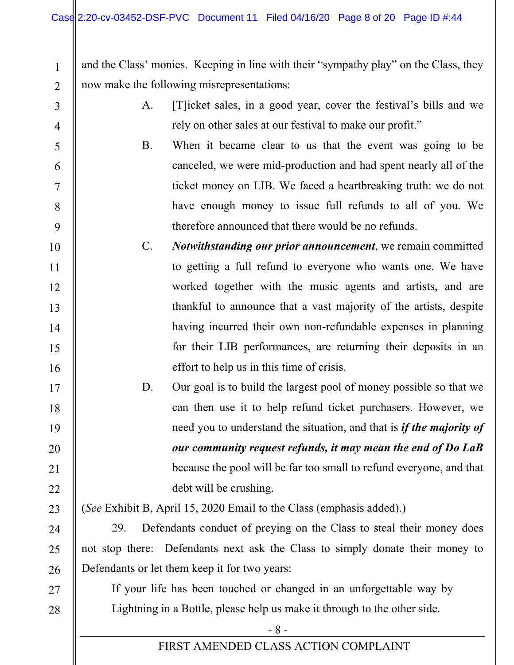2 and the Class' monies. Keeping in line with their "sympathy play" on the Class, they now make the following misrepresentations:

- A. [T]icket sales, in a good year, cover the festival's bills and we rely on other sales at our festival to make our profit."
- B. When it became clear to us that the event was going to be canceled, we were mid-production and had spent nearly all of the ticket money on LIB. We faced a heartbreaking truth: we do not have enough money to issue full refunds to all of you. We therefore announced that there would be no refunds.
- 10 11 12 13 14 15 16 C. *Notwithstanding our prior announcement*, we remain committed to getting a full refund to everyone who wants one. We have worked together with the music agents and artists, and are thankful to announce that a vast majority of the artists, despite having incurred their own non-refundable expenses in planning for their LIB performances, are returning their deposits in an effort to help us in this time of crisis.
	- D. Our goal is to build the largest pool of money possible so that we can then use it to help refund ticket purchasers. However, we need you to understand the situation, and that is *if the majority of our community request refunds, it may mean the end of Do LaB*  because the pool will be far too small to refund everyone, and that debt will be crushing.

23

17

18

19

20

21

22

24

25

26

27

28

1

3

4

5

6

7

8

9

(*See* Exhibit B, April 15, 2020 Email to the Class (emphasis added).)

29. Defendants conduct of preying on the Class to steal their money does not stop there: Defendants next ask the Class to simply donate their money to Defendants or let them keep it for two years:

If your life has been touched or changed in an unforgettable way by Lightning in a Bottle, please help us make it through to the other side.

- 8 -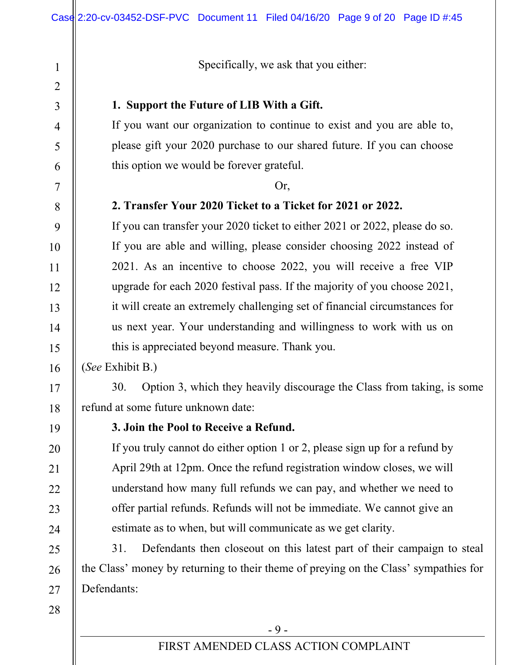Specifically, we ask that you either:

#### **1. Support the Future of LIB With a Gift.**

If you want our organization to continue to exist and you are able to, please gift your 2020 purchase to our shared future. If you can choose this option we would be forever grateful.

#### Or,

#### **2. Transfer Your 2020 Ticket to a Ticket for 2021 or 2022.**

If you can transfer your 2020 ticket to either 2021 or 2022, please do so. If you are able and willing, please consider choosing 2022 instead of 2021. As an incentive to choose 2022, you will receive a free VIP upgrade for each 2020 festival pass. If the majority of you choose 2021, it will create an extremely challenging set of financial circumstances for us next year. Your understanding and willingness to work with us on this is appreciated beyond measure. Thank you.

(*See* Exhibit B.)

30. Option 3, which they heavily discourage the Class from taking, is some refund at some future unknown date:

19

1

2

3

4

5

6

7

8

9

10

11

12

13

14

15

16

17

18

20

21

22

23

24

25

26

27

28

## **3. Join the Pool to Receive a Refund.**

If you truly cannot do either option 1 or 2, please sign up for a refund by April 29th at 12pm. Once the refund registration window closes, we will understand how many full refunds we can pay, and whether we need to offer partial refunds. Refunds will not be immediate. We cannot give an estimate as to when, but will communicate as we get clarity.

31. Defendants then closeout on this latest part of their campaign to steal the Class' money by returning to their theme of preying on the Class' sympathies for Defendants:

 $-9-$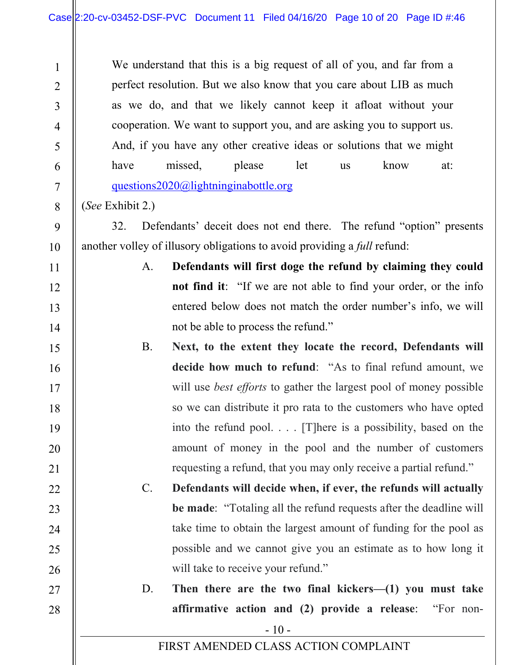We understand that this is a big request of all of you, and far from a perfect resolution. But we also know that you care about LIB as much as we do, and that we likely cannot keep it afloat without your cooperation. We want to support you, and are asking you to support us. And, if you have any other creative ideas or solutions that we might have missed, please let us know at: questions2020@lightninginabottle.org

(*See* Exhibit 2.)

1

2

3

4

5

6

7

8

9

10

11

12

13

14

15

16

17

18

19

20

21

22

23

24

25

26

27

28

32. Defendants' deceit does not end there. The refund "option" presents another volley of illusory obligations to avoid providing a *full* refund:

- A. **Defendants will first doge the refund by claiming they could not find it**: "If we are not able to find your order, or the info entered below does not match the order number's info, we will not be able to process the refund."
- B. **Next, to the extent they locate the record, Defendants will decide how much to refund**: "As to final refund amount, we will use *best efforts* to gather the largest pool of money possible so we can distribute it pro rata to the customers who have opted into the refund pool. . . . [T]here is a possibility, based on the amount of money in the pool and the number of customers requesting a refund, that you may only receive a partial refund."
- C. **Defendants will decide when, if ever, the refunds will actually be made**: "Totaling all the refund requests after the deadline will take time to obtain the largest amount of funding for the pool as possible and we cannot give you an estimate as to how long it will take to receive your refund."
	- D. **Then there are the two final kickers—(1) you must take affirmative action and (2) provide a release**: "For non-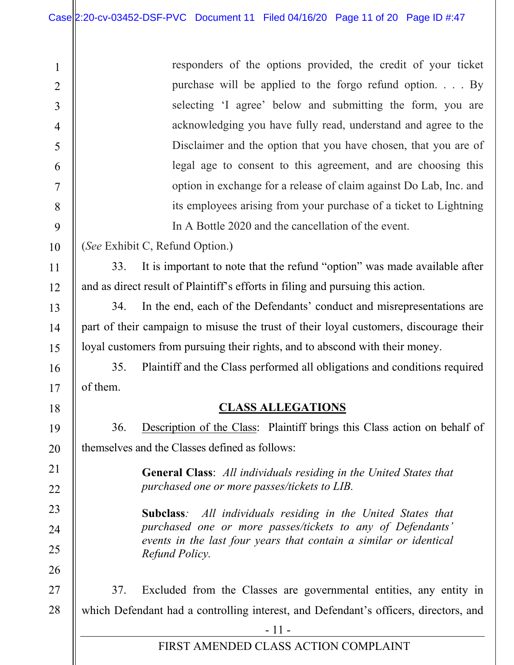$\mathsf{I}$ 

| $\mathbf{1}$                                                                               | responders of the options provided, the credit of your ticket                                                                                                                                                        |  |  |  |
|--------------------------------------------------------------------------------------------|----------------------------------------------------------------------------------------------------------------------------------------------------------------------------------------------------------------------|--|--|--|
| $\overline{2}$                                                                             | purchase will be applied to the forgo refund option. $\ldots$ By                                                                                                                                                     |  |  |  |
| 3                                                                                          | selecting 'I agree' below and submitting the form, you are                                                                                                                                                           |  |  |  |
| 4                                                                                          | acknowledging you have fully read, understand and agree to the                                                                                                                                                       |  |  |  |
| 5                                                                                          | Disclaimer and the option that you have chosen, that you are of                                                                                                                                                      |  |  |  |
| 6                                                                                          | legal age to consent to this agreement, and are choosing this                                                                                                                                                        |  |  |  |
| 7                                                                                          | option in exchange for a release of claim against Do Lab, Inc. and                                                                                                                                                   |  |  |  |
| 8                                                                                          | its employees arising from your purchase of a ticket to Lightning                                                                                                                                                    |  |  |  |
| 9                                                                                          | In A Bottle 2020 and the cancellation of the event.                                                                                                                                                                  |  |  |  |
| 10                                                                                         | (See Exhibit C, Refund Option.)                                                                                                                                                                                      |  |  |  |
| 11                                                                                         | 33.<br>It is important to note that the refund "option" was made available after                                                                                                                                     |  |  |  |
| 12                                                                                         | and as direct result of Plaintiff's efforts in filing and pursuing this action.                                                                                                                                      |  |  |  |
| 13                                                                                         | In the end, each of the Defendants' conduct and misrepresentations are<br>34.                                                                                                                                        |  |  |  |
| 14                                                                                         | part of their campaign to misuse the trust of their loyal customers, discourage their                                                                                                                                |  |  |  |
| 15                                                                                         | loyal customers from pursuing their rights, and to abscond with their money.                                                                                                                                         |  |  |  |
| 16                                                                                         | 35.<br>Plaintiff and the Class performed all obligations and conditions required                                                                                                                                     |  |  |  |
| 17                                                                                         | of them.                                                                                                                                                                                                             |  |  |  |
| 18                                                                                         | <b>CLASS ALLEGATIONS</b>                                                                                                                                                                                             |  |  |  |
| 19                                                                                         | Description of the Class: Plaintiff brings this Class action on behalf of<br>36.                                                                                                                                     |  |  |  |
| 20                                                                                         | themselves and the Classes defined as follows:                                                                                                                                                                       |  |  |  |
| 21<br>22                                                                                   | <b>General Class:</b> All individuals residing in the United States that<br>purchased one or more passes/tickets to LIB.                                                                                             |  |  |  |
| 23<br>24<br>25<br>26                                                                       | All individuals residing in the United States that<br>Subclass:<br>purchased one or more passes/tickets to any of Defendants'<br>events in the last four years that contain a similar or identical<br>Refund Policy. |  |  |  |
| 27                                                                                         | Excluded from the Classes are governmental entities, any entity in<br>37.                                                                                                                                            |  |  |  |
| 28<br>which Defendant had a controlling interest, and Defendant's officers, directors, and |                                                                                                                                                                                                                      |  |  |  |
|                                                                                            | $-11-$                                                                                                                                                                                                               |  |  |  |
|                                                                                            | FIRST AMENDED CLASS ACTION COMPLAINT                                                                                                                                                                                 |  |  |  |
|                                                                                            |                                                                                                                                                                                                                      |  |  |  |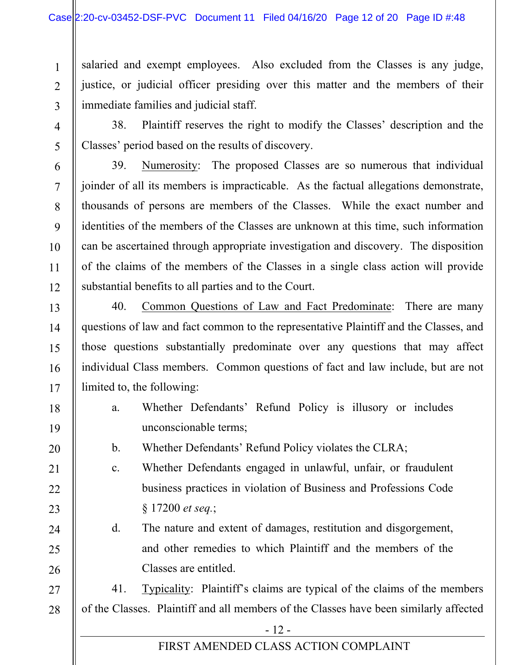4

5

6

7

8

9

10

11

12

13

14

15

16

17

18

19

20

21

22

23

24

25

26

1 2 3 salaried and exempt employees. Also excluded from the Classes is any judge, justice, or judicial officer presiding over this matter and the members of their immediate families and judicial staff.

38. Plaintiff reserves the right to modify the Classes' description and the Classes' period based on the results of discovery.

39. Numerosity: The proposed Classes are so numerous that individual joinder of all its members is impracticable. As the factual allegations demonstrate, thousands of persons are members of the Classes. While the exact number and identities of the members of the Classes are unknown at this time, such information can be ascertained through appropriate investigation and discovery. The disposition of the claims of the members of the Classes in a single class action will provide substantial benefits to all parties and to the Court.

40. Common Questions of Law and Fact Predominate: There are many questions of law and fact common to the representative Plaintiff and the Classes, and those questions substantially predominate over any questions that may affect individual Class members. Common questions of fact and law include, but are not limited to, the following:

- a. Whether Defendants' Refund Policy is illusory or includes unconscionable terms;
- b. Whether Defendants' Refund Policy violates the CLRA;
- c. Whether Defendants engaged in unlawful, unfair, or fraudulent business practices in violation of Business and Professions Code § 17200 *et seq.*;
- d. The nature and extent of damages, restitution and disgorgement, and other remedies to which Plaintiff and the members of the Classes are entitled.

27 28 41. Typicality: Plaintiff's claims are typical of the claims of the members of the Classes. Plaintiff and all members of the Classes have been similarly affected

 $-12$  -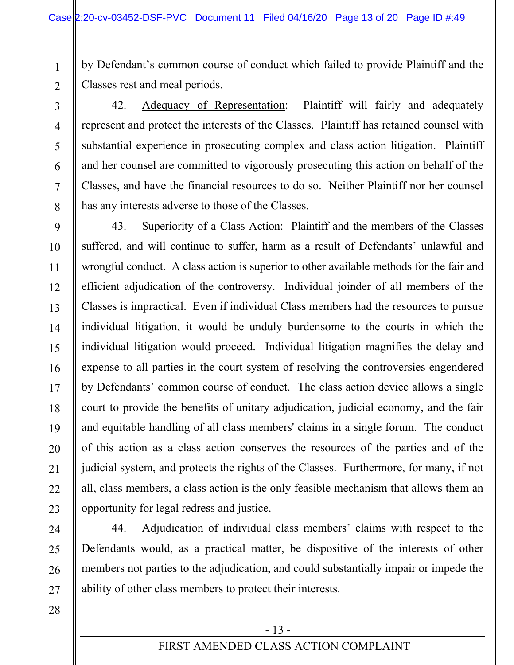by Defendant's common course of conduct which failed to provide Plaintiff and the Classes rest and meal periods.

2 3

4

5

6

7

8

9

10

11

12

13

14

15

16

17

18

19

20

21

22

23

24

25

26

27

1

42. Adequacy of Representation: Plaintiff will fairly and adequately represent and protect the interests of the Classes. Plaintiff has retained counsel with substantial experience in prosecuting complex and class action litigation. Plaintiff and her counsel are committed to vigorously prosecuting this action on behalf of the Classes, and have the financial resources to do so. Neither Plaintiff nor her counsel has any interests adverse to those of the Classes.

43. Superiority of a Class Action: Plaintiff and the members of the Classes suffered, and will continue to suffer, harm as a result of Defendants' unlawful and wrongful conduct. A class action is superior to other available methods for the fair and efficient adjudication of the controversy. Individual joinder of all members of the Classes is impractical. Even if individual Class members had the resources to pursue individual litigation, it would be unduly burdensome to the courts in which the individual litigation would proceed. Individual litigation magnifies the delay and expense to all parties in the court system of resolving the controversies engendered by Defendants' common course of conduct. The class action device allows a single court to provide the benefits of unitary adjudication, judicial economy, and the fair and equitable handling of all class members' claims in a single forum. The conduct of this action as a class action conserves the resources of the parties and of the judicial system, and protects the rights of the Classes. Furthermore, for many, if not all, class members, a class action is the only feasible mechanism that allows them an opportunity for legal redress and justice.

44. Adjudication of individual class members' claims with respect to the Defendants would, as a practical matter, be dispositive of the interests of other members not parties to the adjudication, and could substantially impair or impede the ability of other class members to protect their interests.

28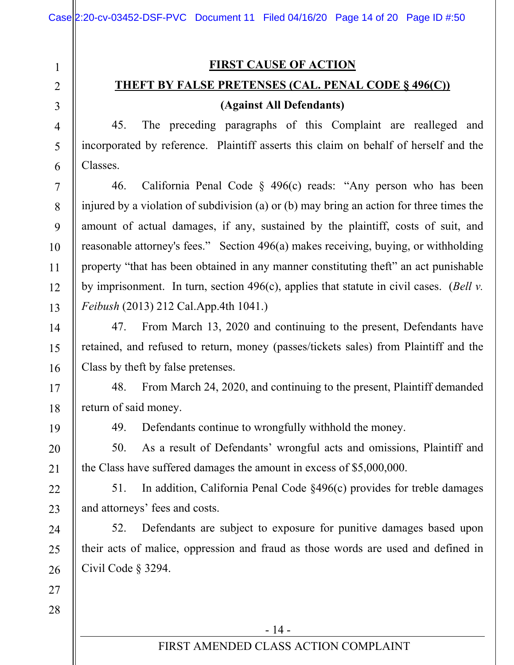**FIRST CAUSE OF ACTION** 

## **THEFT BY FALSE PRETENSES (CAL. PENAL CODE § 496(C))**

## **(Against All Defendants)**

45. The preceding paragraphs of this Complaint are realleged and incorporated by reference. Plaintiff asserts this claim on behalf of herself and the Classes.

46. California Penal Code  $\frac{1}{2}$  496(c) reads: "Any person who has been injured by a violation of subdivision (a) or (b) may bring an action for three times the amount of actual damages, if any, sustained by the plaintiff, costs of suit, and reasonable attorney's fees." Section 496(a) makes receiving, buying, or withholding property "that has been obtained in any manner constituting theft" an act punishable by imprisonment. In turn, section 496(c), applies that statute in civil cases. (*Bell v. Feibush* (2013) 212 Cal.App.4th 1041.)

47. From March 13, 2020 and continuing to the present, Defendants have retained, and refused to return, money (passes/tickets sales) from Plaintiff and the Class by theft by false pretenses.

48. From March 24, 2020, and continuing to the present, Plaintiff demanded return of said money.

1

2

3

4

5

6

7

8

9

10

11

12

13

14

15

16

17

18

19

20

21

22

23

24

25

26

49. Defendants continue to wrongfully withhold the money.

50. As a result of Defendants' wrongful acts and omissions, Plaintiff and the Class have suffered damages the amount in excess of \$5,000,000.

51. In addition, California Penal Code §496(c) provides for treble damages and attorneys' fees and costs.

52. Defendants are subject to exposure for punitive damages based upon their acts of malice, oppression and fraud as those words are used and defined in Civil Code § 3294.

28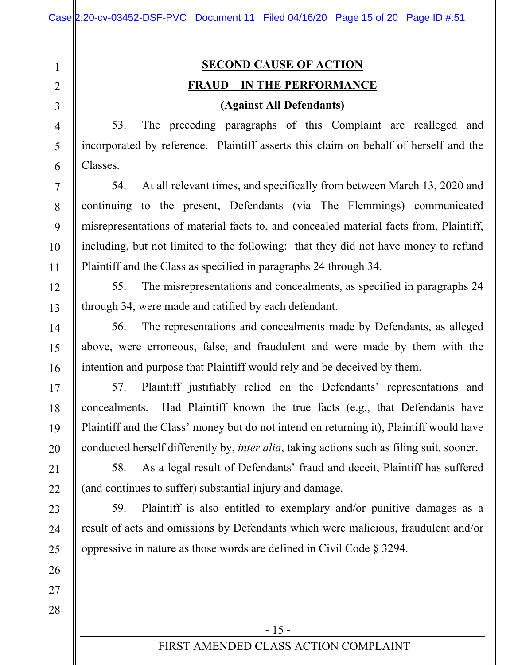2 3

4

5

6

7

8

9

10

11

12

13

14

15

16

17

18

19

20

21

22

23

24

25

26

27

28

1

# **SECOND CAUSE OF ACTION FRAUD – IN THE PERFORMANCE**

#### **(Against All Defendants)**

53. The preceding paragraphs of this Complaint are realleged and incorporated by reference. Plaintiff asserts this claim on behalf of herself and the Classes.

54. At all relevant times, and specifically from between March 13, 2020 and continuing to the present, Defendants (via The Flemmings) communicated misrepresentations of material facts to, and concealed material facts from, Plaintiff, including, but not limited to the following: that they did not have money to refund Plaintiff and the Class as specified in paragraphs 24 through 34.

55. The misrepresentations and concealments, as specified in paragraphs 24 through 34, were made and ratified by each defendant.

56. The representations and concealments made by Defendants, as alleged above, were erroneous, false, and fraudulent and were made by them with the intention and purpose that Plaintiff would rely and be deceived by them.

57. Plaintiff justifiably relied on the Defendants' representations and concealments. Had Plaintiff known the true facts (e.g., that Defendants have Plaintiff and the Class' money but do not intend on returning it), Plaintiff would have conducted herself differently by, *inter alia*, taking actions such as filing suit, sooner.

58. As a legal result of Defendants' fraud and deceit, Plaintiff has suffered (and continues to suffer) substantial injury and damage.

59. Plaintiff is also entitled to exemplary and/or punitive damages as a result of acts and omissions by Defendants which were malicious, fraudulent and/or oppressive in nature as those words are defined in Civil Code § 3294.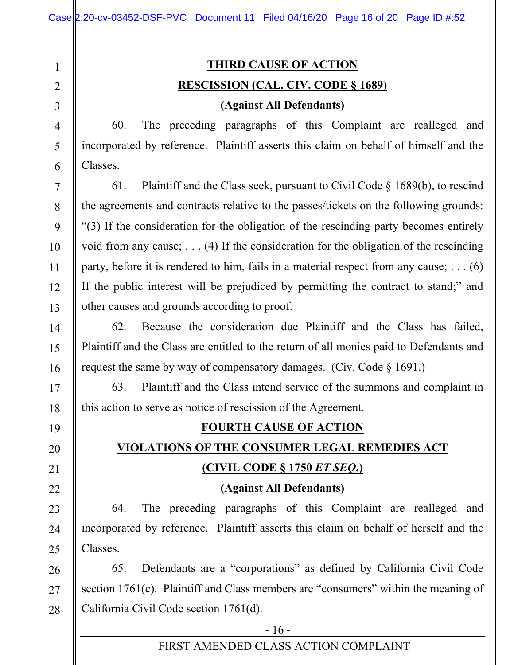2 3 4

5

6

7

8

9

10

11

12

13

14

15

16

17

18

19

20

21

22

23

24

25

1

## **THIRD CAUSE OF ACTION RESCISSION (CAL. CIV. CODE § 1689)**

#### **(Against All Defendants)**

60. The preceding paragraphs of this Complaint are realleged and incorporated by reference. Plaintiff asserts this claim on behalf of himself and the Classes.

61. Plaintiff and the Class seek, pursuant to Civil Code  $\S$  1689(b), to rescind the agreements and contracts relative to the passes/tickets on the following grounds: "(3) If the consideration for the obligation of the rescinding party becomes entirely void from any cause; . . . (4) If the consideration for the obligation of the rescinding party, before it is rendered to him, fails in a material respect from any cause; . . . (6) If the public interest will be prejudiced by permitting the contract to stand;" and other causes and grounds according to proof.

62. Because the consideration due Plaintiff and the Class has failed, Plaintiff and the Class are entitled to the return of all monies paid to Defendants and request the same by way of compensatory damages. (Civ. Code § 1691.)

63. Plaintiff and the Class intend service of the summons and complaint in this action to serve as notice of rescission of the Agreement.

## **FOURTH CAUSE OF ACTION**

## **VIOLATIONS OF THE CONSUMER LEGAL REMEDIES ACT (CIVIL CODE § 1750** *ET SEQ***.)**

## **(Against All Defendants)**

64. The preceding paragraphs of this Complaint are realleged and incorporated by reference. Plaintiff asserts this claim on behalf of herself and the Classes.

26 27 28 65. Defendants are a "corporations" as defined by California Civil Code section 1761(c). Plaintiff and Class members are "consumers" within the meaning of California Civil Code section 1761(d).

 $-16$  -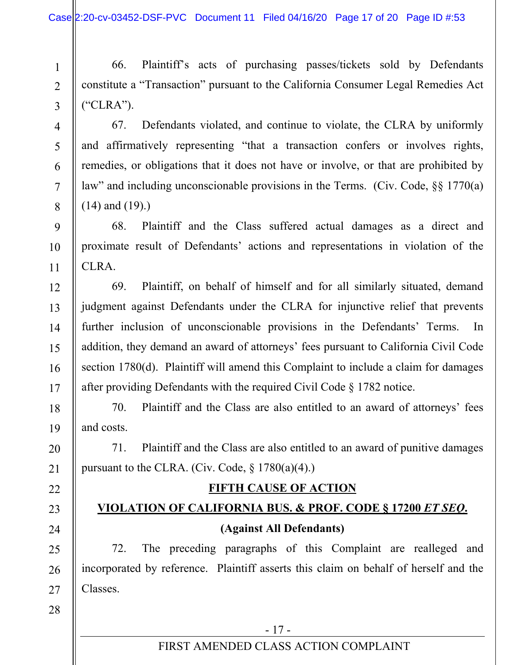66. Plaintiff's acts of purchasing passes/tickets sold by Defendants constitute a "Transaction" pursuant to the California Consumer Legal Remedies Act ("CLRA").

67. Defendants violated, and continue to violate, the CLRA by uniformly and affirmatively representing "that a transaction confers or involves rights, remedies, or obligations that it does not have or involve, or that are prohibited by law" and including unconscionable provisions in the Terms. (Civ. Code, §§ 1770(a) (14) and (19).)

68. Plaintiff and the Class suffered actual damages as a direct and proximate result of Defendants' actions and representations in violation of the CLRA.

69. Plaintiff, on behalf of himself and for all similarly situated, demand judgment against Defendants under the CLRA for injunctive relief that prevents further inclusion of unconscionable provisions in the Defendants' Terms. In addition, they demand an award of attorneys' fees pursuant to California Civil Code section 1780(d). Plaintiff will amend this Complaint to include a claim for damages after providing Defendants with the required Civil Code § 1782 notice.

70. Plaintiff and the Class are also entitled to an award of attorneys' fees and costs.

71. Plaintiff and the Class are also entitled to an award of punitive damages pursuant to the CLRA. (Civ. Code,  $\S 1780(a)(4)$ .)

## **FIFTH CAUSE OF ACTION**

## **VIOLATION OF CALIFORNIA BUS. & PROF. CODE § 17200** *ET SEQ***. (Against All Defendants)**

72. The preceding paragraphs of this Complaint are realleged and incorporated by reference. Plaintiff asserts this claim on behalf of herself and the Classes.

1

2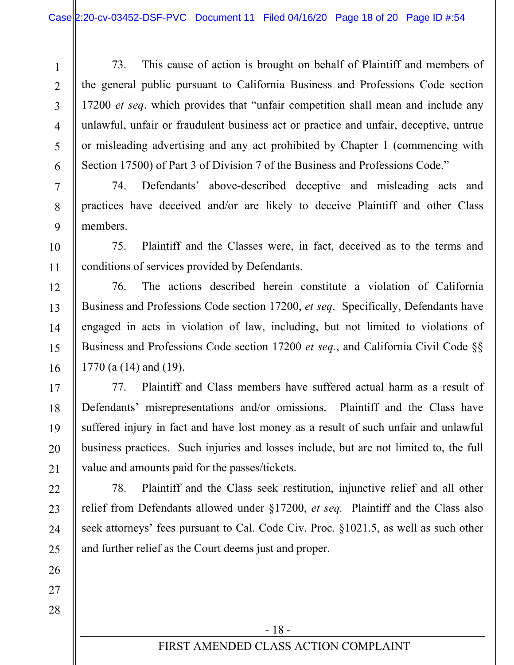73. This cause of action is brought on behalf of Plaintiff and members of the general public pursuant to California Business and Professions Code section 17200 *et seq*. which provides that "unfair competition shall mean and include any unlawful, unfair or fraudulent business act or practice and unfair, deceptive, untrue or misleading advertising and any act prohibited by Chapter 1 (commencing with Section 17500) of Part 3 of Division 7 of the Business and Professions Code."

74. Defendants' above-described deceptive and misleading acts and practices have deceived and/or are likely to deceive Plaintiff and other Class members.

75. Plaintiff and the Classes were, in fact, deceived as to the terms and conditions of services provided by Defendants.

76. The actions described herein constitute a violation of California Business and Professions Code section 17200, *et seq*. Specifically, Defendants have engaged in acts in violation of law, including, but not limited to violations of Business and Professions Code section 17200 *et seq.*, and California Civil Code §§ 1770 (a (14) and (19).

77. Plaintiff and Class members have suffered actual harm as a result of Defendants' misrepresentations and/or omissions. Plaintiff and the Class have suffered injury in fact and have lost money as a result of such unfair and unlawful business practices. Such injuries and losses include, but are not limited to, the full value and amounts paid for the passes/tickets.

78. Plaintiff and the Class seek restitution, injunctive relief and all other relief from Defendants allowed under §17200, *et seq.* Plaintiff and the Class also seek attorneys' fees pursuant to Cal. Code Civ. Proc. §1021.5, as well as such other and further relief as the Court deems just and proper.

1

2

3

4

5

6

7

8

9

10

11

12

13

14

15

16

17

18

19

20

21

22

23

24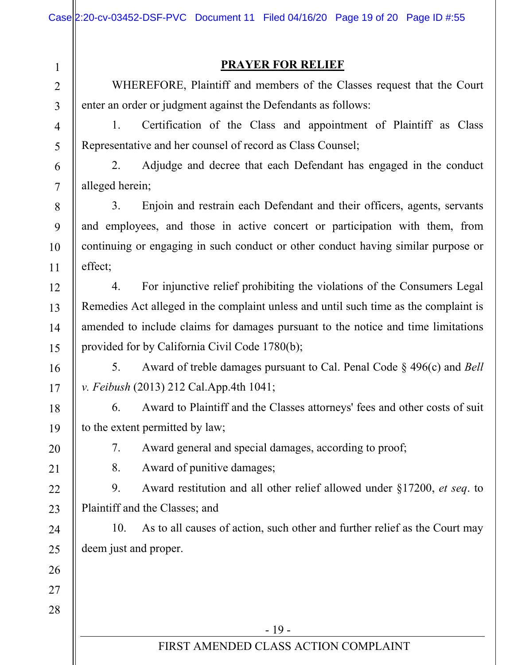|                | Case 2:20-cv-03452-DSF-PVC Document 11 Filed 04/16/20 Page 19 of 20 Page ID #:55      |  |  |  |
|----------------|---------------------------------------------------------------------------------------|--|--|--|
| $\mathbf{1}$   | <b>PRAYER FOR RELIEF</b>                                                              |  |  |  |
| $\overline{2}$ | WHEREFORE, Plaintiff and members of the Classes request that the Court                |  |  |  |
| $\overline{3}$ | enter an order or judgment against the Defendants as follows:                         |  |  |  |
| $\overline{4}$ | 1.<br>Certification of the Class and appointment of Plaintiff as Class                |  |  |  |
| 5              | Representative and her counsel of record as Class Counsel;                            |  |  |  |
| 6              | 2.<br>Adjudge and decree that each Defendant has engaged in the conduct               |  |  |  |
| $\overline{7}$ | alleged herein;                                                                       |  |  |  |
| 8              | 3.<br>Enjoin and restrain each Defendant and their officers, agents, servants         |  |  |  |
| 9              | and employees, and those in active concert or participation with them, from           |  |  |  |
| 10             | continuing or engaging in such conduct or other conduct having similar purpose or     |  |  |  |
| 11             | effect;                                                                               |  |  |  |
| 12             | For injunctive relief prohibiting the violations of the Consumers Legal<br>4.         |  |  |  |
| 13             | Remedies Act alleged in the complaint unless and until such time as the complaint is  |  |  |  |
| 14             | amended to include claims for damages pursuant to the notice and time limitations     |  |  |  |
| 15             | provided for by California Civil Code 1780(b);                                        |  |  |  |
| 16             | 5.<br>Award of treble damages pursuant to Cal. Penal Code $\S$ 496(c) and <i>Bell</i> |  |  |  |
| 17             | v. Feibush (2013) 212 Cal.App.4th 1041;                                               |  |  |  |
| 18             | Award to Plaintiff and the Classes attorneys' fees and other costs of suit<br>6.      |  |  |  |
| 19             | to the extent permitted by law;                                                       |  |  |  |
| 20             | Award general and special damages, according to proof;<br>7.                          |  |  |  |
| 21             | 8.<br>Award of punitive damages;                                                      |  |  |  |
| 22             | 9.<br>Award restitution and all other relief allowed under $\S 17200$ , et seq. to    |  |  |  |
| 23             | Plaintiff and the Classes; and                                                        |  |  |  |
| 24             | As to all causes of action, such other and further relief as the Court may<br>10.     |  |  |  |
| 25             | deem just and proper.                                                                 |  |  |  |
| 26             |                                                                                       |  |  |  |
| 27             |                                                                                       |  |  |  |
| 28             |                                                                                       |  |  |  |
|                | $-19-$                                                                                |  |  |  |
|                | FIRST AMENDED CLASS ACTION COMPLAINT                                                  |  |  |  |